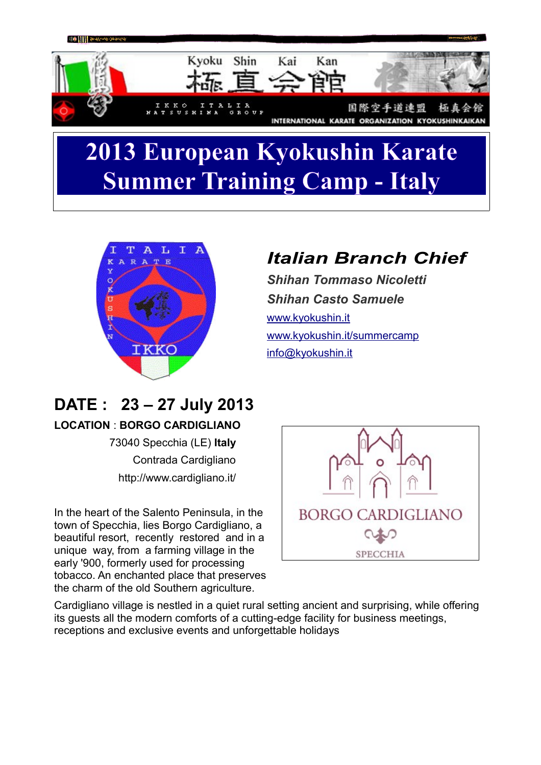

# **2013 European Kyokushin Karate Summer Training Camp - Italy**



## *Italian Branch Chief*

*Shihan Tommaso Nicoletti Shihan Casto Samuele* [www.kyokushin.it](http://www.kyokushin.it/) [www.kyokushin.it/summercamp](http://www.kyokushin.it/summercamp) [info@kyokushin.it](mailto:info@kyokushin.it)

# **DATE : 23 – 27 July 2013**

#### **LOCATION** : **BORGO CARDIGLIANO**

73040 Specchia (LE) **Italy** Contrada Cardigliano http://www.cardigliano.it/

In the heart of the Salento Peninsula, in the town of Specchia, lies Borgo Cardigliano, a beautiful resort, recently restored and in a unique way, from a farming village in the early '900, formerly used for processing tobacco. An enchanted place that preserves the charm of the old Southern agriculture.



Cardigliano village is nestled in a quiet rural setting ancient and surprising, while offering its guests all the modern comforts of a cutting-edge facility for business meetings, receptions and exclusive events and unforgettable holidays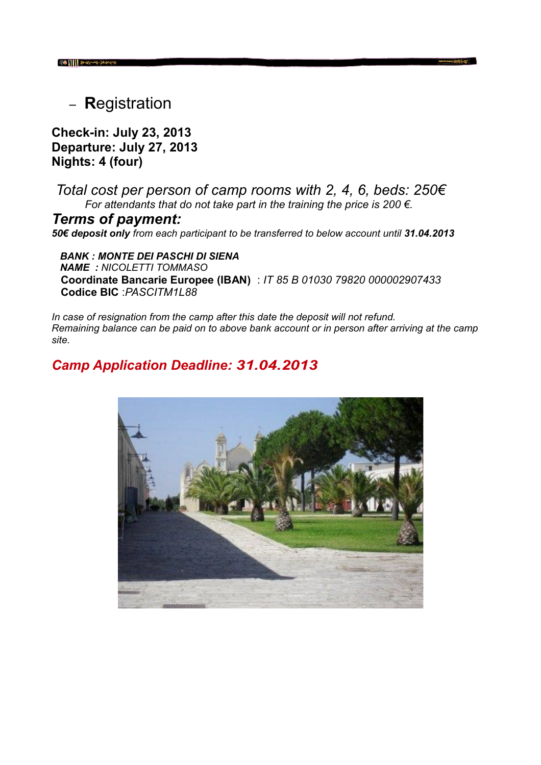<sup>−</sup> **R**egistration

**Check-in: July 23, 2013 Departure: July 27, 2013 Nights: 4 (four)** 

 *Total cost per person of camp rooms with 2, 4, 6, beds: 250€ For attendants that do not take part in the training the price is 200 €.*

*Terms of payment:*  50€ deposit only from each participant to be transferred to below account until 31.04.2013

 *BANK : MONTE DEI PASCHI DI SIENA NAME : NICOLETTI TOMMASO* **Coordinate Bancarie Europee (IBAN)** : *IT 85 B 01030 79820 000002907433* **Codice BIC** :*PASCITM1L88*

*In case of resignation from the camp after this date the deposit will not refund. Remaining balance can be paid on to above bank account or in person after arriving at the camp site.* 

### *Camp Application Deadline: 31.04.2013*

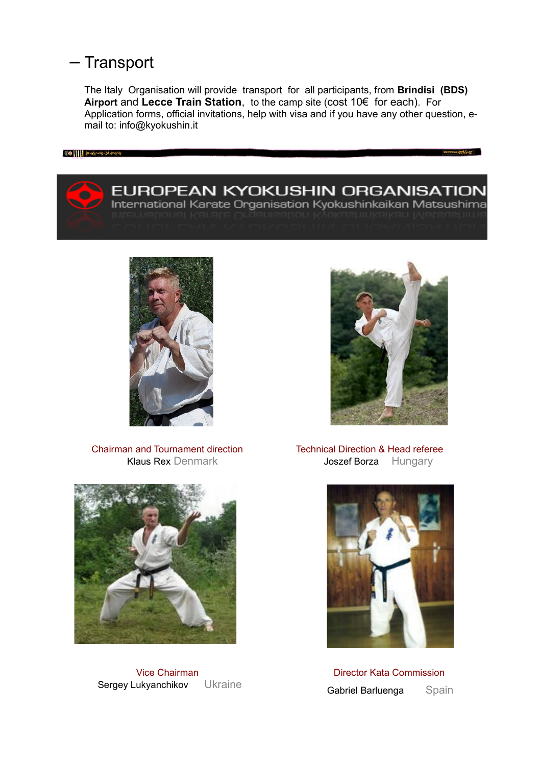### − Transport

The Italy Organisation will provide transport for all participants, from **Brindisi (BDS) Airport** and **Lecce Train Station**, to the camp site (cost 10€ for each). For Application forms, official invitations, help with visa and if you have any other question, email to: info@kyokushin.it





Chairman and Tournament direction Klaus Rex Denmark



#### Technical Direction & Head referee Joszef Borza Hungary



Director Kata Commission Gabriel Barluenga Spain



Vice Chairman Sergey Lukyanchikov Ukraine